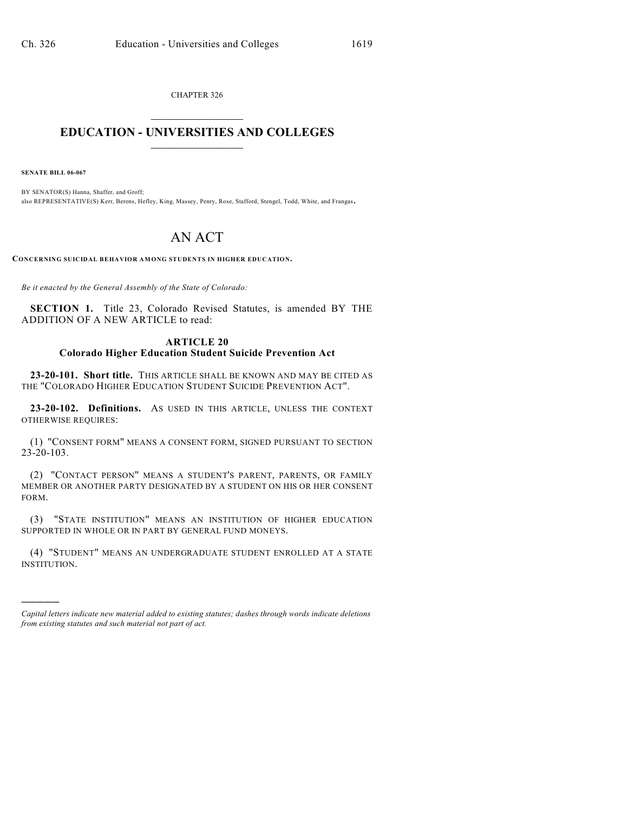CHAPTER 326  $\mathcal{L}_\text{max}$  . The set of the set of the set of the set of the set of the set of the set of the set of the set of the set of the set of the set of the set of the set of the set of the set of the set of the set of the set

## **EDUCATION - UNIVERSITIES AND COLLEGES**  $\frac{1}{2}$  ,  $\frac{1}{2}$  ,  $\frac{1}{2}$  ,  $\frac{1}{2}$  ,  $\frac{1}{2}$  ,  $\frac{1}{2}$  ,  $\frac{1}{2}$

**SENATE BILL 06-067**

)))))

BY SENATOR(S) Hanna, Shaffer, and Groff; also REPRESENTATIVE(S) Kerr, Berens, Hefley, King, Massey, Penry, Rose, Stafford, Stengel, Todd, White, and Frangas.

## AN ACT

**CONCERNING SUICIDAL BEHAVIOR AMONG STUDENTS IN HIGHER EDUCATION.**

*Be it enacted by the General Assembly of the State of Colorado:*

**SECTION 1.** Title 23, Colorado Revised Statutes, is amended BY THE ADDITION OF A NEW ARTICLE to read:

## **ARTICLE 20 Colorado Higher Education Student Suicide Prevention Act**

**23-20-101. Short title.** THIS ARTICLE SHALL BE KNOWN AND MAY BE CITED AS THE "COLORADO HIGHER EDUCATION STUDENT SUICIDE PREVENTION ACT".

**23-20-102. Definitions.** AS USED IN THIS ARTICLE, UNLESS THE CONTEXT OTHERWISE REQUIRES:

(1) "CONSENT FORM" MEANS A CONSENT FORM, SIGNED PURSUANT TO SECTION 23-20-103.

(2) "CONTACT PERSON" MEANS A STUDENT'S PARENT, PARENTS, OR FAMILY MEMBER OR ANOTHER PARTY DESIGNATED BY A STUDENT ON HIS OR HER CONSENT FORM.

(3) "STATE INSTITUTION" MEANS AN INSTITUTION OF HIGHER EDUCATION SUPPORTED IN WHOLE OR IN PART BY GENERAL FUND MONEYS.

(4) "STUDENT" MEANS AN UNDERGRADUATE STUDENT ENROLLED AT A STATE INSTITUTION.

*Capital letters indicate new material added to existing statutes; dashes through words indicate deletions from existing statutes and such material not part of act.*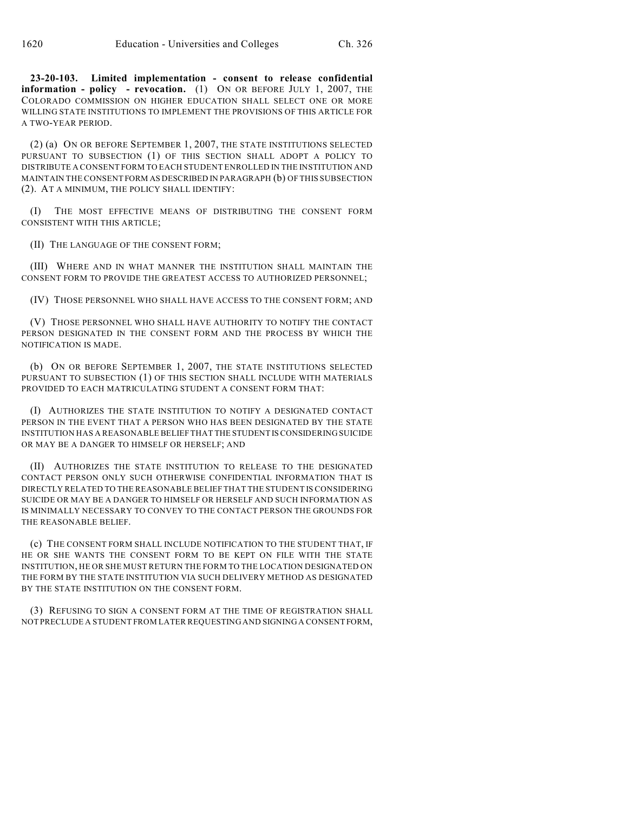**23-20-103. Limited implementation - consent to release confidential information - policy - revocation.** (1) ON OR BEFORE JULY 1, 2007, THE COLORADO COMMISSION ON HIGHER EDUCATION SHALL SELECT ONE OR MORE WILLING STATE INSTITUTIONS TO IMPLEMENT THE PROVISIONS OF THIS ARTICLE FOR A TWO-YEAR PERIOD.

(2) (a) ON OR BEFORE SEPTEMBER 1, 2007, THE STATE INSTITUTIONS SELECTED PURSUANT TO SUBSECTION (1) OF THIS SECTION SHALL ADOPT A POLICY TO DISTRIBUTE A CONSENT FORM TO EACH STUDENT ENROLLED IN THE INSTITUTION AND MAINTAIN THE CONSENT FORM AS DESCRIBED IN PARAGRAPH (b) OF THIS SUBSECTION (2). AT A MINIMUM, THE POLICY SHALL IDENTIFY:

(I) THE MOST EFFECTIVE MEANS OF DISTRIBUTING THE CONSENT FORM CONSISTENT WITH THIS ARTICLE;

(II) THE LANGUAGE OF THE CONSENT FORM;

(III) WHERE AND IN WHAT MANNER THE INSTITUTION SHALL MAINTAIN THE CONSENT FORM TO PROVIDE THE GREATEST ACCESS TO AUTHORIZED PERSONNEL;

(IV) THOSE PERSONNEL WHO SHALL HAVE ACCESS TO THE CONSENT FORM; AND

(V) THOSE PERSONNEL WHO SHALL HAVE AUTHORITY TO NOTIFY THE CONTACT PERSON DESIGNATED IN THE CONSENT FORM AND THE PROCESS BY WHICH THE NOTIFICATION IS MADE.

(b) ON OR BEFORE SEPTEMBER 1, 2007, THE STATE INSTITUTIONS SELECTED PURSUANT TO SUBSECTION (1) OF THIS SECTION SHALL INCLUDE WITH MATERIALS PROVIDED TO EACH MATRICULATING STUDENT A CONSENT FORM THAT:

(I) AUTHORIZES THE STATE INSTITUTION TO NOTIFY A DESIGNATED CONTACT PERSON IN THE EVENT THAT A PERSON WHO HAS BEEN DESIGNATED BY THE STATE INSTITUTION HAS A REASONABLE BELIEF THAT THE STUDENT IS CONSIDERING SUICIDE OR MAY BE A DANGER TO HIMSELF OR HERSELF; AND

(II) AUTHORIZES THE STATE INSTITUTION TO RELEASE TO THE DESIGNATED CONTACT PERSON ONLY SUCH OTHERWISE CONFIDENTIAL INFORMATION THAT IS DIRECTLY RELATED TO THE REASONABLE BELIEF THAT THE STUDENT IS CONSIDERING SUICIDE OR MAY BE A DANGER TO HIMSELF OR HERSELF AND SUCH INFORMATION AS IS MINIMALLY NECESSARY TO CONVEY TO THE CONTACT PERSON THE GROUNDS FOR THE REASONABLE BELIEF.

(c) THE CONSENT FORM SHALL INCLUDE NOTIFICATION TO THE STUDENT THAT, IF HE OR SHE WANTS THE CONSENT FORM TO BE KEPT ON FILE WITH THE STATE INSTITUTION, HE OR SHE MUST RETURN THE FORM TO THE LOCATION DESIGNATED ON THE FORM BY THE STATE INSTITUTION VIA SUCH DELIVERY METHOD AS DESIGNATED BY THE STATE INSTITUTION ON THE CONSENT FORM.

(3) REFUSING TO SIGN A CONSENT FORM AT THE TIME OF REGISTRATION SHALL NOT PRECLUDE A STUDENT FROM LATER REQUESTING AND SIGNING A CONSENT FORM,